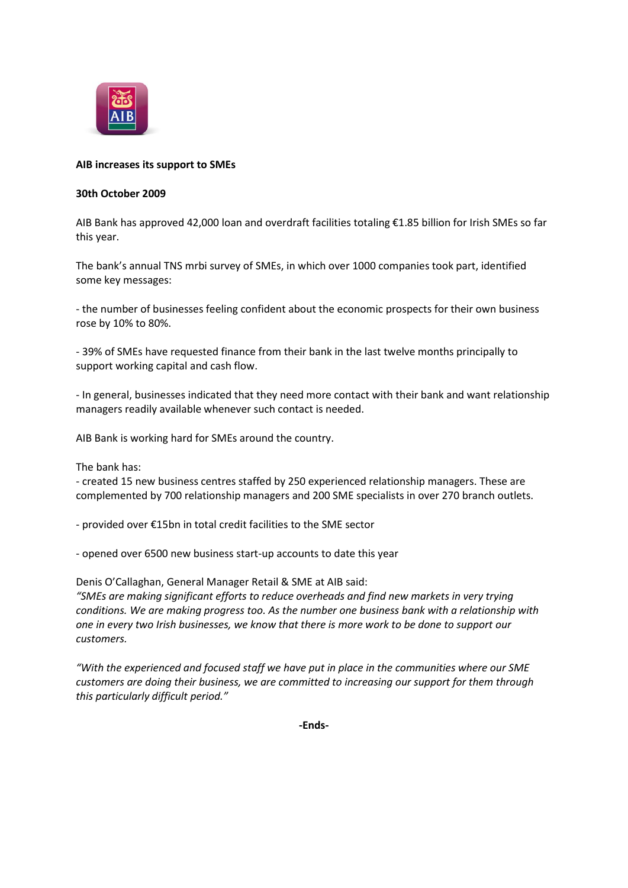

## **AIB increases its support to SMEs**

## **30th October 2009**

AIB Bank has approved 42,000 loan and overdraft facilities totaling €1.85 billion for Irish SMEs so far this year.

The bank's annual TNS mrbi survey of SMEs, in which over 1000 companies took part, identified some key messages:

- the number of businesses feeling confident about the economic prospects for their own business rose by 10% to 80%.

- 39% of SMEs have requested finance from their bank in the last twelve months principally to support working capital and cash flow.

- In general, businesses indicated that they need more contact with their bank and want relationship managers readily available whenever such contact is needed.

AIB Bank is working hard for SMEs around the country.

The bank has:

- created 15 new business centres staffed by 250 experienced relationship managers. These are complemented by 700 relationship managers and 200 SME specialists in over 270 branch outlets.

- provided over €15bn in total credit facilities to the SME sector

- opened over 6500 new business start-up accounts to date this year

Denis O'Callaghan, General Manager Retail & SME at AIB said: *"SMEs are making significant efforts to reduce overheads and find new markets in very trying conditions. We are making progress too. As the number one business bank with a relationship with one in every two Irish businesses, we know that there is more work to be done to support our customers.*

*"With the experienced and focused staff we have put in place in the communities where our SME customers are doing their business, we are committed to increasing our support for them through this particularly difficult period."*

**-Ends-**